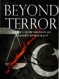# BEYOND TERROR

# **ISLAM'S SLOW EROSION OF WESTERN DEMOCRACY**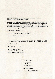BEYOND TERROR: Islam's Slow Erosion of Western Democracy copyright© 2018 by Anne Marie Waters.

All rights reserved. No part of this book may be reproduced in any form whatsoever, by photography or xerography or by any other means, by broadcast or transmission, by translation into any kind of language, nor by recording electronically or otherwise without permission in writing from the author, except by a reviewer who may quote brief passages in critical articles or reviews.

ISBN 13: 978-0-9846938-8-7

Library of Congress Control Number: TBD

Printed in the United States of America

### **UNCORRECTED BOUND GALLEY- NOT FOR RESALE**

First Printing: 2018

18 17161514 54321

Cover art by Judith Nicols Cover design by Glen Edelstein Interior design by Glen Edelstein

### SOMETHING

### QR **QTHER**

### PUBLISHING

Info@SOOPLLC.com

For bulk orders e-mail: Orders@SOOPLLC.com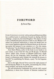## **FOREWORD**

### *By Daniel Pipes*

EVERY EUROPEAN COUNTRY with an advanced Islamist problem has a political party in parliament focused on dealing with this challenge - except one, the United Kingdom. This absence of what I call a *civilizationist party* (because it seeks to save Western civilization) has profound implications; it means the British have no way to enact legislation against the Islamist threat nor do the existing parties feel pressure to pay attention to it. For this reason, "Londonistan" has the bleakest prospects of any Western country.

Anne Marie Waters, author of the book in your hands or on your screen, is one of the few who can fill the gap. As *Beyond Terror: Islam's Slow Erosion of Western Democracy* amply shows, she has the biography, skills, knowledge, and will to found a civilizationist party. Indeed, she initiated the process in late 2017 by establishing For Britain, a party "for the forgotten majority."

Seen in this light, *Beyond Terror* serves the triple purpose of self-introducing Waters to the public, documenting the civilizational problem, and laying out her policies.

The self-introduction emphasizes her and the Left's mutual disaffection; it shows how criticism of Islamism rendered her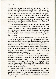longstanding political home no longer hospitable. I found her insider's views illuminating, especially how pro-Islamism has become integral to the Left's world view and program. It's reached the point, Waters explains, that "the modern political Left will turn on its comrades if they fall out of favour with Islam." Strangely, opposing "a far-Right religious extremism that openly discriminates and condones violence against women, executes homosexuals, and punishes dissenters with the sword" gets one in big trouble.

This could only happen because "the modern Left has adopted a whole new set of priorities. No longer concerned with the rights of the working classes or protecting vulnerable minorities, the new university-educated middle-class Left is an ideological beast." In other words, economics is now secondary to identity politics. Workers, make way for the academics. Goodbye Marx, hello Gramsci.

"Far Right" is what *The Economist* calls Waters and what *The Times of London* calls For Britain; but this adjective outrageously distorts both their political identities. Waters comes from a strictly leftist background, having been a member of the Labour Party for about 10 years. Her political activism began in favour of keeping the socialist National Health Service. She served as both a trade union representative and as a board member of the National Secular Society. She calls herself a second-wave feminist and a near-free-speech absolutist.

Following her clash with the Left, her outlook now contains centrist qualities: She believes in personal liberty, in limited state intrusion, government accountability, low migration, and Christian- and secular-based Western civilisation. She favours the free market along with a strong public sector. She is a nationalist who opposes mass migration. In keeping with this profile, For Britain is neither Left nor Right, much less far Right, but represents what it calls "the decent majority."

Waters is shy about providing specifics on her travails in starting the party (did you not wonder why this very British-oriented book is published in the American Midwest?) and discussing future tactics. I look forward to more information from her on these topics.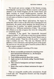The second part surveys outrages of the Islamist scourge, knowledgeably covering twelve Western countries (with special attention to the United Kingdom and the United States) and lightly touching on several Muslim-majority countries. She documents the ravages of the combined Islamist-Leftist machine on such topics as freedom of speech, homosexuality, and school instruction.

The final part offers Waters' prescriptions. She begins by noting that, when it comes to the twin issues of immigration and Islamization, the parties which dominate the British House of Commons, four in number, "are entirely inseparable" in their agreement on a "deliberate sanitisation of Islam." She portrays this collusion as an elite arrogance that views the voting public as "completely stupid."

Fortunately, if free speech "has dramatically decreased among our leaders, " it "still exists in some form among ordinary people." And so, paraphrasing George Orwell, Waters turns to those ordinary people: "Hope lies with the proles." A populist surge is needed, and now: "The only way Islamism will be defeated, or even confronted, is through the power of the people. We must use our vote and our right to stand for political office in order to unseat complicit MPs."

She outlines a program consisting of five steps:

- 1. Restore accountable government by returning power from international institutions (i.e., the European Union) to the nation-state.
- 2. Teach children positively about their country.
- 3. Apply one law to all, thereby ending "harmful Islamic practices."
- 4. Take control of immigration and deport immigrant criminals.
- *5.* Keep a close watch on Islamic institutions for signs of Islamism.

These are unarguably sensible policy prescriptions, though I would add a #6: "Marginalize Islamism and help strengthen moderate Islam."